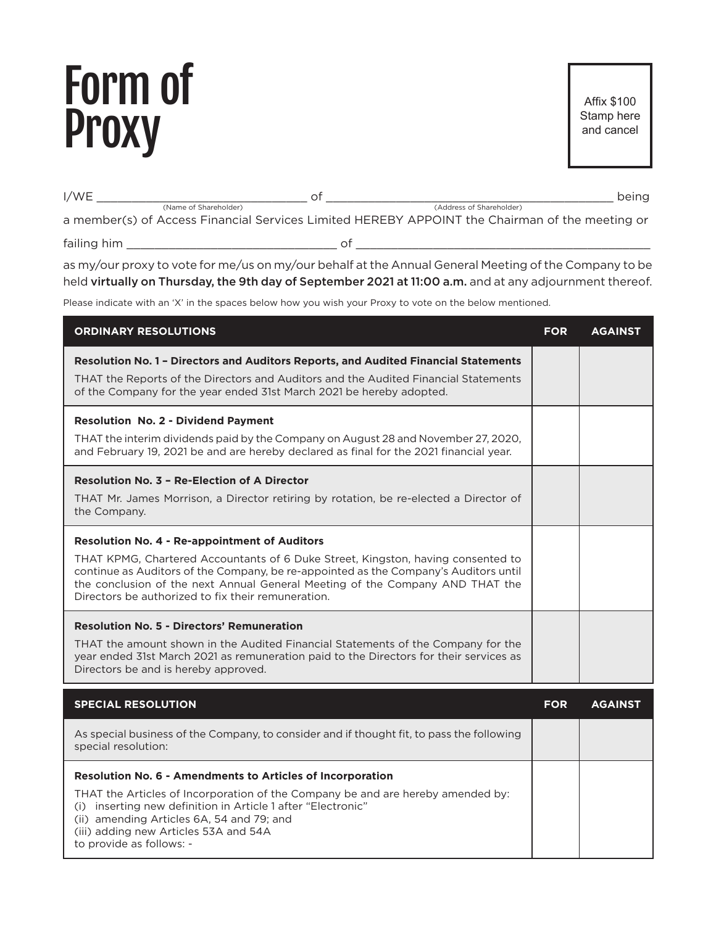## Form of **Proxy**

Affix \$100 Stamp here and cancel

| I/WE                  |                                                                                                | being |
|-----------------------|------------------------------------------------------------------------------------------------|-------|
| (Name of Shareholder) | (Address of Shareholder)                                                                       |       |
|                       | a member(s) of Access Financial Services Limited HEREBY APPOINT the Chairman of the meeting or |       |

failing him \_\_\_\_\_\_\_\_\_\_\_\_\_\_\_\_\_\_\_\_\_\_\_\_\_\_\_\_\_\_ of \_\_\_\_\_\_\_\_\_\_\_\_\_\_\_\_\_\_\_\_\_\_\_\_\_\_\_\_\_\_\_\_\_\_\_\_\_\_\_\_\_\_

as my/our proxy to vote for me/us on my/our behalf at the Annual General Meeting of the Company to be held virtually on Thursday, the 9th day of September 2021 at 11:00 a.m. and at any adjournment thereof.

Please indicate with an 'X' in the spaces below how you wish your Proxy to vote on the below mentioned.

| <b>ORDINARY RESOLUTIONS</b>                                                                                                                                                                                                                                                                                                                                             |            | <b>AGAINST</b> |
|-------------------------------------------------------------------------------------------------------------------------------------------------------------------------------------------------------------------------------------------------------------------------------------------------------------------------------------------------------------------------|------------|----------------|
| Resolution No. 1 - Directors and Auditors Reports, and Audited Financial Statements<br>THAT the Reports of the Directors and Auditors and the Audited Financial Statements<br>of the Company for the year ended 31st March 2021 be hereby adopted.                                                                                                                      |            |                |
| <b>Resolution No. 2 - Dividend Payment</b><br>THAT the interim dividends paid by the Company on August 28 and November 27, 2020,<br>and February 19, 2021 be and are hereby declared as final for the 2021 financial year.                                                                                                                                              |            |                |
| <b>Resolution No. 3 - Re-Election of A Director</b><br>THAT Mr. James Morrison, a Director retiring by rotation, be re-elected a Director of<br>the Company.                                                                                                                                                                                                            |            |                |
| <b>Resolution No. 4 - Re-appointment of Auditors</b><br>THAT KPMG, Chartered Accountants of 6 Duke Street, Kingston, having consented to<br>continue as Auditors of the Company, be re-appointed as the Company's Auditors until<br>the conclusion of the next Annual General Meeting of the Company AND THAT the<br>Directors be authorized to fix their remuneration. |            |                |
| <b>Resolution No. 5 - Directors' Remuneration</b><br>THAT the amount shown in the Audited Financial Statements of the Company for the<br>year ended 31st March 2021 as remuneration paid to the Directors for their services as<br>Directors be and is hereby approved.                                                                                                 |            |                |
| <b>SPECIAL RESOLUTION</b>                                                                                                                                                                                                                                                                                                                                               | <b>FOR</b> | <b>AGAINST</b> |
|                                                                                                                                                                                                                                                                                                                                                                         |            |                |
| As special business of the Company, to consider and if thought fit, to pass the following<br>special resolution:                                                                                                                                                                                                                                                        |            |                |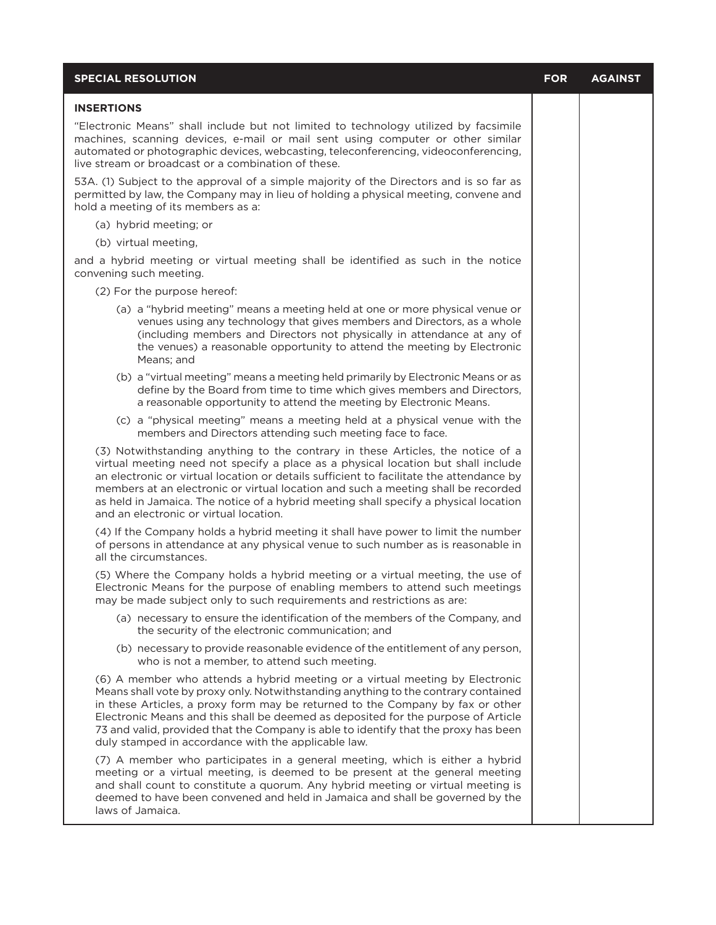| <b>SPECIAL RESOLUTION</b>                                                                                                                                                                                                                                                                                                                                                                                                                                                               | <b>FOR</b> | <b>AGAINST</b> |
|-----------------------------------------------------------------------------------------------------------------------------------------------------------------------------------------------------------------------------------------------------------------------------------------------------------------------------------------------------------------------------------------------------------------------------------------------------------------------------------------|------------|----------------|
| <b>INSERTIONS</b>                                                                                                                                                                                                                                                                                                                                                                                                                                                                       |            |                |
| "Electronic Means" shall include but not limited to technology utilized by facsimile<br>machines, scanning devices, e-mail or mail sent using computer or other similar<br>automated or photographic devices, webcasting, teleconferencing, videoconferencing,<br>live stream or broadcast or a combination of these.                                                                                                                                                                   |            |                |
| 53A. (1) Subject to the approval of a simple majority of the Directors and is so far as<br>permitted by law, the Company may in lieu of holding a physical meeting, convene and<br>hold a meeting of its members as a:                                                                                                                                                                                                                                                                  |            |                |
| (a) hybrid meeting; or                                                                                                                                                                                                                                                                                                                                                                                                                                                                  |            |                |
| (b) virtual meeting,                                                                                                                                                                                                                                                                                                                                                                                                                                                                    |            |                |
| and a hybrid meeting or virtual meeting shall be identified as such in the notice<br>convening such meeting.                                                                                                                                                                                                                                                                                                                                                                            |            |                |
| (2) For the purpose hereof:                                                                                                                                                                                                                                                                                                                                                                                                                                                             |            |                |
| (a) a "hybrid meeting" means a meeting held at one or more physical venue or<br>venues using any technology that gives members and Directors, as a whole<br>(including members and Directors not physically in attendance at any of<br>the venues) a reasonable opportunity to attend the meeting by Electronic<br>Means; and                                                                                                                                                           |            |                |
| (b) a "virtual meeting" means a meeting held primarily by Electronic Means or as<br>define by the Board from time to time which gives members and Directors,<br>a reasonable opportunity to attend the meeting by Electronic Means.                                                                                                                                                                                                                                                     |            |                |
| (c) a "physical meeting" means a meeting held at a physical venue with the<br>members and Directors attending such meeting face to face.                                                                                                                                                                                                                                                                                                                                                |            |                |
| (3) Notwithstanding anything to the contrary in these Articles, the notice of a<br>virtual meeting need not specify a place as a physical location but shall include<br>an electronic or virtual location or details sufficient to facilitate the attendance by<br>members at an electronic or virtual location and such a meeting shall be recorded<br>as held in Jamaica. The notice of a hybrid meeting shall specify a physical location<br>and an electronic or virtual location.  |            |                |
| (4) If the Company holds a hybrid meeting it shall have power to limit the number<br>of persons in attendance at any physical venue to such number as is reasonable in<br>all the circumstances.                                                                                                                                                                                                                                                                                        |            |                |
| (5) Where the Company holds a hybrid meeting or a virtual meeting, the use of<br>Electronic Means for the purpose of enabling members to attend such meetings<br>may be made subject only to such requirements and restrictions as are:                                                                                                                                                                                                                                                 |            |                |
| (a) necessary to ensure the identification of the members of the Company, and<br>the security of the electronic communication; and                                                                                                                                                                                                                                                                                                                                                      |            |                |
| (b) necessary to provide reasonable evidence of the entitlement of any person,<br>who is not a member, to attend such meeting.                                                                                                                                                                                                                                                                                                                                                          |            |                |
| (6) A member who attends a hybrid meeting or a virtual meeting by Electronic<br>Means shall vote by proxy only. Notwithstanding anything to the contrary contained<br>in these Articles, a proxy form may be returned to the Company by fax or other<br>Electronic Means and this shall be deemed as deposited for the purpose of Article<br>73 and valid, provided that the Company is able to identify that the proxy has been<br>duly stamped in accordance with the applicable law. |            |                |
| (7) A member who participates in a general meeting, which is either a hybrid<br>meeting or a virtual meeting, is deemed to be present at the general meeting<br>and shall count to constitute a quorum. Any hybrid meeting or virtual meeting is<br>deemed to have been convened and held in Jamaica and shall be governed by the<br>laws of Jamaica.                                                                                                                                   |            |                |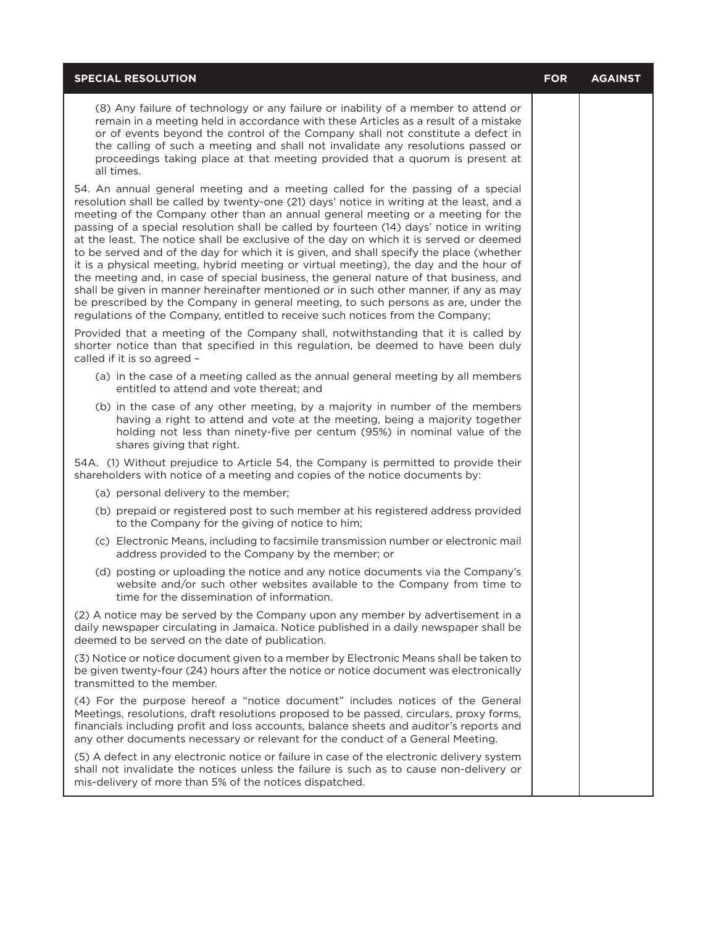| <b>SPECIAL RESOLUTION</b>                                                                                                                                                                                                                                                                                                                                                                                                                                                                                                                                                                                                                                                                                                                                                                                                                                                                                                                                                                             |  | <b>AGAINST</b> |
|-------------------------------------------------------------------------------------------------------------------------------------------------------------------------------------------------------------------------------------------------------------------------------------------------------------------------------------------------------------------------------------------------------------------------------------------------------------------------------------------------------------------------------------------------------------------------------------------------------------------------------------------------------------------------------------------------------------------------------------------------------------------------------------------------------------------------------------------------------------------------------------------------------------------------------------------------------------------------------------------------------|--|----------------|
| (8) Any failure of technology or any failure or inability of a member to attend or<br>remain in a meeting held in accordance with these Articles as a result of a mistake<br>or of events beyond the control of the Company shall not constitute a defect in<br>the calling of such a meeting and shall not invalidate any resolutions passed or<br>proceedings taking place at that meeting provided that a quorum is present at<br>all times.                                                                                                                                                                                                                                                                                                                                                                                                                                                                                                                                                       |  |                |
| 54. An annual general meeting and a meeting called for the passing of a special<br>resolution shall be called by twenty-one (21) days' notice in writing at the least, and a<br>meeting of the Company other than an annual general meeting or a meeting for the<br>passing of a special resolution shall be called by fourteen (14) days' notice in writing<br>at the least. The notice shall be exclusive of the day on which it is served or deemed<br>to be served and of the day for which it is given, and shall specify the place (whether<br>it is a physical meeting, hybrid meeting or virtual meeting), the day and the hour of<br>the meeting and, in case of special business, the general nature of that business, and<br>shall be given in manner hereinafter mentioned or in such other manner, if any as may<br>be prescribed by the Company in general meeting, to such persons as are, under the<br>regulations of the Company, entitled to receive such notices from the Company; |  |                |
| Provided that a meeting of the Company shall, notwithstanding that it is called by<br>shorter notice than that specified in this regulation, be deemed to have been duly<br>called if it is so agreed -                                                                                                                                                                                                                                                                                                                                                                                                                                                                                                                                                                                                                                                                                                                                                                                               |  |                |
| (a) in the case of a meeting called as the annual general meeting by all members<br>entitled to attend and vote thereat: and                                                                                                                                                                                                                                                                                                                                                                                                                                                                                                                                                                                                                                                                                                                                                                                                                                                                          |  |                |
| (b) in the case of any other meeting, by a majority in number of the members<br>having a right to attend and vote at the meeting, being a majority together<br>holding not less than ninety-five per centum (95%) in nominal value of the<br>shares giving that right.                                                                                                                                                                                                                                                                                                                                                                                                                                                                                                                                                                                                                                                                                                                                |  |                |
| 54A. (1) Without prejudice to Article 54, the Company is permitted to provide their<br>shareholders with notice of a meeting and copies of the notice documents by:                                                                                                                                                                                                                                                                                                                                                                                                                                                                                                                                                                                                                                                                                                                                                                                                                                   |  |                |
| (a) personal delivery to the member;                                                                                                                                                                                                                                                                                                                                                                                                                                                                                                                                                                                                                                                                                                                                                                                                                                                                                                                                                                  |  |                |
| (b) prepaid or registered post to such member at his registered address provided<br>to the Company for the giving of notice to him;                                                                                                                                                                                                                                                                                                                                                                                                                                                                                                                                                                                                                                                                                                                                                                                                                                                                   |  |                |
| (c) Electronic Means, including to facsimile transmission number or electronic mail<br>address provided to the Company by the member; or                                                                                                                                                                                                                                                                                                                                                                                                                                                                                                                                                                                                                                                                                                                                                                                                                                                              |  |                |
| (d) posting or uploading the notice and any notice documents via the Company's<br>website and/or such other websites available to the Company from time to<br>time for the dissemination of information.                                                                                                                                                                                                                                                                                                                                                                                                                                                                                                                                                                                                                                                                                                                                                                                              |  |                |
| (2) A notice may be served by the Company upon any member by advertisement in a<br>daily newspaper circulating in Jamaica. Notice published in a daily newspaper shall be<br>deemed to be served on the date of publication.                                                                                                                                                                                                                                                                                                                                                                                                                                                                                                                                                                                                                                                                                                                                                                          |  |                |
| (3) Notice or notice document given to a member by Electronic Means shall be taken to<br>be given twenty-four (24) hours after the notice or notice document was electronically<br>transmitted to the member.                                                                                                                                                                                                                                                                                                                                                                                                                                                                                                                                                                                                                                                                                                                                                                                         |  |                |
| (4) For the purpose hereof a "notice document" includes notices of the General<br>Meetings, resolutions, draft resolutions proposed to be passed, circulars, proxy forms,<br>financials including profit and loss accounts, balance sheets and auditor's reports and<br>any other documents necessary or relevant for the conduct of a General Meeting.                                                                                                                                                                                                                                                                                                                                                                                                                                                                                                                                                                                                                                               |  |                |
| (5) A defect in any electronic notice or failure in case of the electronic delivery system<br>shall not invalidate the notices unless the failure is such as to cause non-delivery or<br>mis-delivery of more than 5% of the notices dispatched.                                                                                                                                                                                                                                                                                                                                                                                                                                                                                                                                                                                                                                                                                                                                                      |  |                |